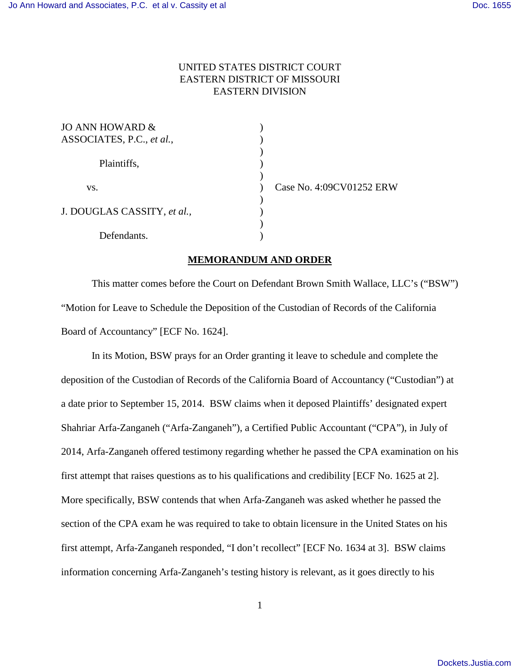## UNITED STATES DISTRICT COURT EASTERN DISTRICT OF MISSOURI EASTERN DIVISION

| JO ANN HOWARD &             |  |
|-----------------------------|--|
| ASSOCIATES, P.C., et al.,   |  |
|                             |  |
| Plaintiffs,                 |  |
|                             |  |
| VS.                         |  |
|                             |  |
| J. DOUGLAS CASSITY, et al., |  |
|                             |  |
| Defendants.                 |  |

ase No. 4:09CV01252 ERW

## **MEMORANDUM AND ORDER**

This matter comes before the Court on Defendant Brown Smith Wallace, LLC's ("BSW") "Motion for Leave to Schedule the Deposition of the Custodian of Records of the California Board of Accountancy" [ECF No. 1624].

In its Motion, BSW prays for an Order granting it leave to schedule and complete the deposition of the Custodian of Records of the California Board of Accountancy ("Custodian") at a date prior to September 15, 2014. BSW claims when it deposed Plaintiffs' designated expert Shahriar Arfa-Zanganeh ("Arfa-Zanganeh"), a Certified Public Accountant ("CPA"), in July of 2014, Arfa-Zanganeh offered testimony regarding whether he passed the CPA examination on his first attempt that raises questions as to his qualifications and credibility [ECF No. 1625 at 2]. More specifically, BSW contends that when Arfa-Zanganeh was asked whether he passed the section of the CPA exam he was required to take to obtain licensure in the United States on his first attempt, Arfa-Zanganeh responded, "I don't recollect" [ECF No. 1634 at 3]. BSW claims information concerning Arfa-Zanganeh's testing history is relevant, as it goes directly to his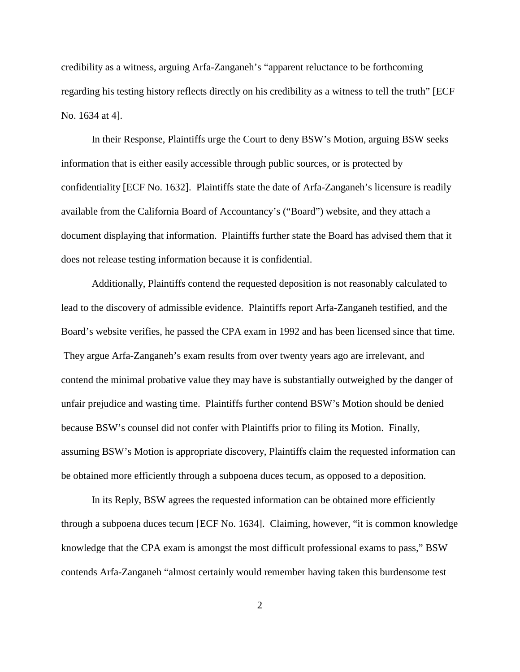credibility as a witness, arguing Arfa-Zanganeh's "apparent reluctance to be forthcoming regarding his testing history reflects directly on his credibility as a witness to tell the truth" [ECF No. 1634 at 4].

In their Response, Plaintiffs urge the Court to deny BSW's Motion, arguing BSW seeks information that is either easily accessible through public sources, or is protected by confidentiality [ECF No. 1632]. Plaintiffs state the date of Arfa-Zanganeh's licensure is readily available from the California Board of Accountancy's ("Board") website, and they attach a document displaying that information. Plaintiffs further state the Board has advised them that it does not release testing information because it is confidential.

Additionally, Plaintiffs contend the requested deposition is not reasonably calculated to lead to the discovery of admissible evidence. Plaintiffs report Arfa-Zanganeh testified, and the Board's website verifies, he passed the CPA exam in 1992 and has been licensed since that time. They argue Arfa-Zanganeh's exam results from over twenty years ago are irrelevant, and contend the minimal probative value they may have is substantially outweighed by the danger of unfair prejudice and wasting time. Plaintiffs further contend BSW's Motion should be denied because BSW's counsel did not confer with Plaintiffs prior to filing its Motion. Finally, assuming BSW's Motion is appropriate discovery, Plaintiffs claim the requested information can be obtained more efficiently through a subpoena duces tecum, as opposed to a deposition.

In its Reply, BSW agrees the requested information can be obtained more efficiently through a subpoena duces tecum [ECF No. 1634]. Claiming, however, "it is common knowledge knowledge that the CPA exam is amongst the most difficult professional exams to pass," BSW contends Arfa-Zanganeh "almost certainly would remember having taken this burdensome test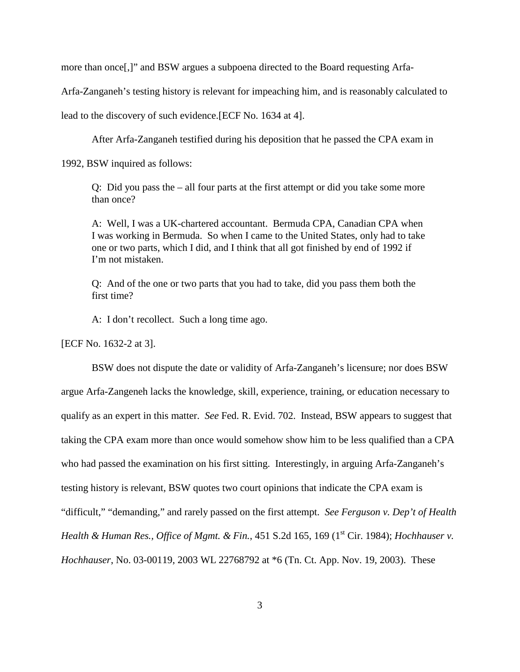more than once[,]" and BSW argues a subpoena directed to the Board requesting Arfa-

Arfa-Zanganeh's testing history is relevant for impeaching him, and is reasonably calculated to

lead to the discovery of such evidence.[ECF No. 1634 at 4].

After Arfa-Zanganeh testified during his deposition that he passed the CPA exam in

1992, BSW inquired as follows:

Q: Did you pass the – all four parts at the first attempt or did you take some more than once?

A: Well, I was a UK-chartered accountant. Bermuda CPA, Canadian CPA when I was working in Bermuda. So when I came to the United States, only had to take one or two parts, which I did, and I think that all got finished by end of 1992 if I'm not mistaken.

Q: And of the one or two parts that you had to take, did you pass them both the first time?

A: I don't recollect. Such a long time ago.

[ECF No. 1632-2 at 3].

BSW does not dispute the date or validity of Arfa-Zanganeh's licensure; nor does BSW argue Arfa-Zangeneh lacks the knowledge, skill, experience, training, or education necessary to qualify as an expert in this matter. *See* Fed. R. Evid. 702. Instead, BSW appears to suggest that taking the CPA exam more than once would somehow show him to be less qualified than a CPA who had passed the examination on his first sitting. Interestingly, in arguing Arfa-Zanganeh's testing history is relevant, BSW quotes two court opinions that indicate the CPA exam is "difficult," "demanding," and rarely passed on the first attempt. *See Ferguson v. Dep't of Health Health & Human Res., Office of Mgmt. & Fin.*, 451 S.2d 165, 169 (1<sup>st</sup> Cir. 1984); *Hochhauser v. Hochhauser*, No. 03-00119, 2003 WL 22768792 at \*6 (Tn. Ct. App. Nov. 19, 2003). These